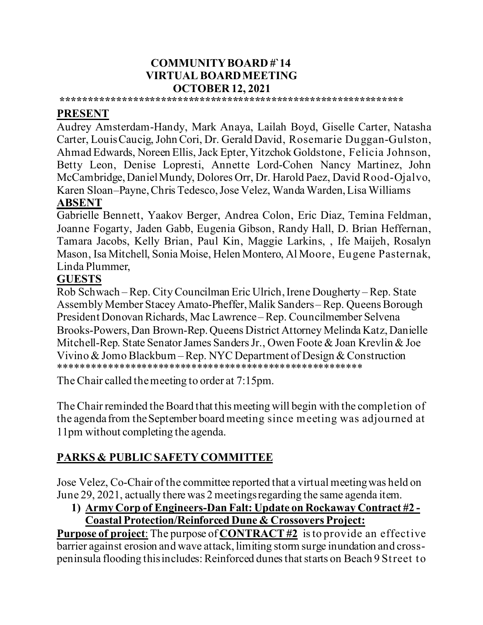### **COMMUNITY BOARD #`14 VIRTUAL BOARD MEETING OCTOBER 12, 2021**

## **\*\*\*\*\*\*\*\*\*\*\*\*\*\*\*\*\*\*\*\*\*\*\*\*\*\*\*\*\*\*\*\*\*\*\*\*\*\*\*\*\*\*\*\*\*\*\*\*\*\*\*\*\*\*\*\*\*\*\*\*\*\***

### **PRESENT**

Audrey Amsterdam-Handy, Mark Anaya, Lailah Boyd, Giselle Carter, Natasha Carter, Louis Caucig, John Cori, Dr. Gerald David, Rosemarie Duggan-Gulston, Ahmad Edwards, Noreen Ellis, Jack Epter,Yitzchok Goldstone, Felicia Johnson, Betty Leon, Denise Lopresti, Annette Lord-Cohen Nancy Martinez, John McCambridge, Daniel Mundy, Dolores Orr, Dr. Harold Paez, David Rood-Ojalvo, Karen Sloan–Payne, Chris Tedesco, Jose Velez, Wanda Warden, Lisa Williams

### **ABSENT**

Gabrielle Bennett, Yaakov Berger, Andrea Colon, Eric Diaz, Temina Feldman, Joanne Fogarty, Jaden Gabb, Eugenia Gibson, Randy Hall, D. Brian Heffernan, Tamara Jacobs, Kelly Brian, Paul Kin, Maggie Larkins, , Ife Maijeh, Rosalyn Mason, Isa Mitchell, Sonia Moise, Helen Montero, Al Moore, Eugene Pasternak, Linda Plummer,

## **GUESTS**

Rob Schwach – Rep. City Councilman Eric Ulrich, Irene Dougherty –Rep. State Assembly Member Stacey Amato-Pheffer, Malik Sanders – Rep. Queens Borough President Donovan Richards, Mac Lawrence – Rep. Councilmember Selvena Brooks-Powers,Dan Brown-Rep. Queens District Attorney Melinda Katz, Danielle Mitchell-Rep. State Senator James Sanders Jr., Owen Foote & Joan Krevlin & Joe Vivino & Jomo Blackburn – Rep. NYC Department of Design & Construction \*\*\*\*\*\*\*\*\*\*\*\*\*\*\*\*\*\*\*\*\*\*\*\*\*\*\*\*\*\*\*\*\*\*\*\*\*\*\*\*\*\*\*\*\*\*\*\*\*\*\*\*\*\*\*

The Chair called the meeting to order at 7:15pm.

The Chair reminded the Board that this meeting will begin with the completion of the agenda from the September board meeting since meeting was adjourned at 11pm without completing the agenda.

## **PARKS & PUBLIC SAFETY COMMITTEE**

Jose Velez, Co-Chair of the committee reported that a virtual meeting was held on June 29, 2021, actually there was 2 meetings regarding the same agenda item.

#### **1) Army Corp of Engineers-Dan Falt: Update on Rockaway Contract #2 - Coastal Protection/Reinforced Dune & Crossovers Project:**

**Purpose of project**: The purpose of **CONTRACT #2** is to provide an effective barrier against erosion and wave attack, limiting storm surge inundation and crosspeninsula flooding this includes: Reinforced dunes that starts on Beach 9 Street to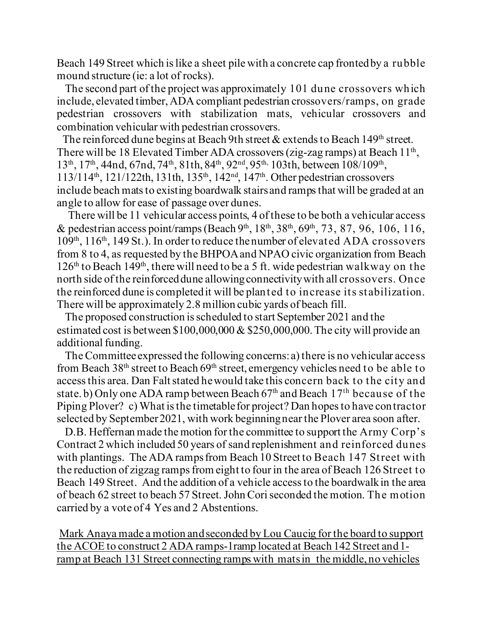Beach 149 Street which is like a sheet pile with a concrete cap fronted by a rubble mound structure (ie: a lot of rocks).

 The second part of the project was approximately 101 dune crossovers which include, elevated timber,ADA compliant pedestrian crossovers/ramps, on grade pedestrian crossovers with stabilization mats, vehicular crossovers and combination vehicular with pedestrian crossovers.

The reinforced dune begins at Beach 9th street  $\&$  extends to Beach 149<sup>th</sup> street. There will be 18 Elevated Timber ADA crossovers (zig-zag ramps) at Beach  $11<sup>th</sup>$ , 13<sup>th</sup>, 17<sup>th</sup>, 44nd, 67nd, 74<sup>th</sup>, 81th, 84<sup>th</sup>, 92<sup>nd</sup>, 95<sup>th,</sup> 103th, between 108/109<sup>th</sup>, 113/114th, 121/122th, 131th, 135th, 142nd, 147th. Other pedestrian crossovers include beach mats to existing boardwalk stairs and ramps that will be graded at an angle to allow for ease of passage over dunes.

 There will be 11 vehicular access points, 4 of these to be both a vehicular access & pedestrian access point/ramps (Beach 9<sup>th</sup>, 18<sup>th</sup>, 38<sup>th</sup>, 69<sup>th</sup>, 73, 87, 96, 106, 116, 109th, 116th, 149 St.). In order to reduce the number of elevated ADA crossovers from 8 to 4, as requested by the BHPOA and NPAO civic organization from Beach  $126<sup>th</sup>$  to Beach  $149<sup>th</sup>$ , there will need to be a 5 ft. wide pedestrian walkway on the north side of the reinforced dune allowing connectivity with all crossovers. Once the reinforced dune is completed it will be planted to increase its stabilization. There will be approximately 2.8 million cubic yards of beach fill.

 The proposed construction is scheduled to start September 2021 and the estimated cost is between \$100,000,000 & \$250,000,000. The city will provide an additional funding.

 The Committee expressed the following concerns: a) there is no vehicular access from Beach  $38<sup>th</sup>$  street to Beach  $69<sup>th</sup>$  street, emergency vehicles need to be able to access this area. Dan Falt stated he would take this concern back to the city and state. b) Only one ADA ramp between Beach  $67<sup>th</sup>$  and Beach  $17<sup>th</sup>$  because of the Piping Plover? c) What is the timetable for project? Dan hopes to have contractor selected by September2021, with work beginning near the Plover area soon after.

 D.B. Heffernan made the motion for the committee to support the Army Corp's Contract 2 which included 50 years of sand replenishment and reinforced dunes with plantings. The ADA ramps from Beach 10 Street to Beach 147 Street with the reduction of zigzag ramps from eight to four in the area of Beach 126 Street to Beach 149 Street. And the addition of a vehicle access to the boardwalk in the area of beach 62 street to beach 57 Street. John Cori seconded the motion. The motion carried by a vote of 4 Yes and 2 Abstentions.

Mark Anaya made a motion and seconded by Lou Caucig for the board to support the ACOE to construct 2 ADA ramps-1ramp located at Beach 142 Street and 1 ramp at Beach 131 Street connecting ramps with matsin the middle, no vehicles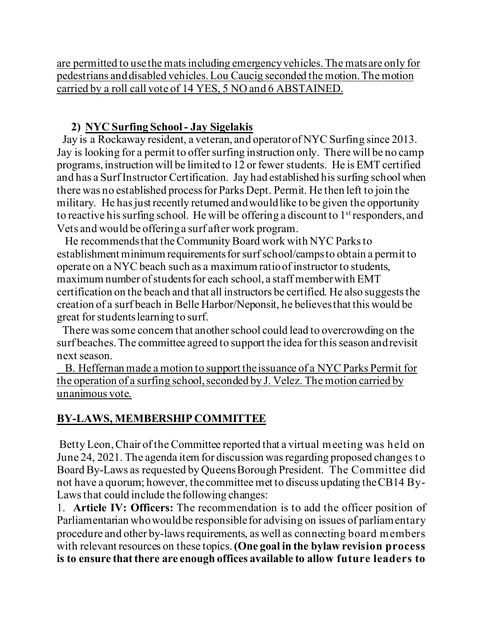are permitted to use the mats including emergency vehicles.The mats are only for pedestrians and disabled vehicles.Lou Caucig seconded the motion. The motion carried by a roll call vote of 14 YES, 5 NO and 6 ABSTAINED.

## **2) NYC Surfing School - Jay Sigelakis**

 Jay is a Rockaway resident, a veteran, and operator of NYC Surfing since 2013. Jay is looking for a permit to offer surfing instruction only. There will be no camp programs, instruction will be limited to 12 or fewer students. He is EMT certified and has a Surf Instructor Certification. Jay had established his surfing school when there was no established process for Parks Dept. Permit. He then left to join the military. He has just recently returned and would like to be given the opportunity to reactive his surfing school. He will be offering a discount to  $1<sup>st</sup>$  responders, and Vets and would be offering a surf after work program.

 He recommends that the Community Board work with NYC Parks to establishment minimum requirements for surf school/camps to obtain a permit to operate on a NYC beach such as a maximum ratio of instructor to students, maximum number of students for each school, a staff member with EMT certification on the beach and that all instructors be certified. He also suggests the creation of a surf beach in Belle Harbor/Neponsit, he believes that this would be great for students learning to surf.

 There was some concern that another school could lead to overcrowding on the surf beaches. The committee agreed to support the idea for this season and revisit next season.

 B. Heffernan made a motion to support the issuance of a NYC Parks Permit for the operation of a surfing school, seconded by J. Velez. The motion carried by unanimous vote.

## **BY-LAWS, MEMBERSHIP COMMITTEE**

Betty Leon, Chair of the Committee reported that a virtual meeting was held on June 24, 2021. The agenda item for discussion was regarding proposed changes to Board By-Laws as requested by Queens Borough President. The Committee did not have a quorum; however, the committee met to discuss updating the CB14 By-Laws that could include the following changes:

1. **Article IV: Officers:** The recommendation is to add the officer position of Parliamentarian who would be responsible for advising on issues of parliamentary procedure and other by-laws requirements, as well as connecting board members with relevant resources on these topics.**(One goal in the bylaw revision process is to ensure that there are enough offices available to allow future leaders to**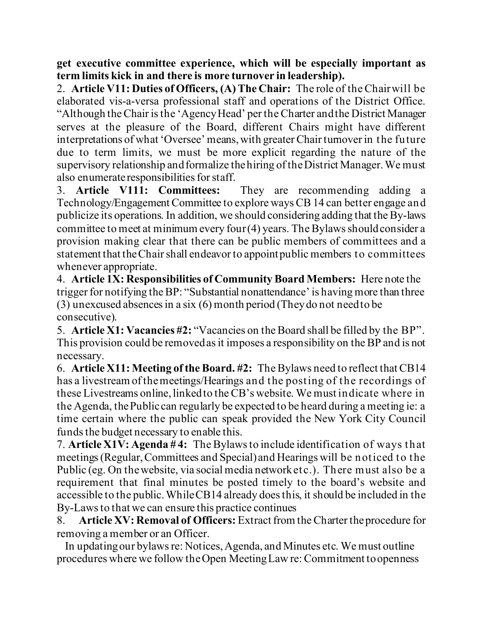**get executive committee experience, which will be especially important as term limits kick in and there is more turnover in leadership).**

2. **Article V11: Duties of Officers, (A) The Chair:** The role of the Chair will be elaborated vis-a-versa professional staff and operations of the District Office. "Although the Chair is the 'Agency Head' per the Charter and the District Manager serves at the pleasure of the Board, different Chairs might have different interpretations of what 'Oversee' means, with greater Chair turnover in the future due to term limits, we must be more explicit regarding the nature of the supervisory relationship and formalize the hiring of the District Manager. We must also enumerate responsibilities for staff.

3. **Article V111: Committees:** They are recommending adding a Technology/Engagement Committee to explore ways CB 14 can better engage and publicize its operations. In addition, we should considering adding that the By-laws committee to meet at minimum every four (4) years. The Bylaws should consider a provision making clear that there can be public members of committees and a statement that the Chair shall endeavor to appoint public members to committees whenever appropriate.

4. **Article 1X: Responsibilities of Community Board Members:** Here note the trigger for notifying the BP: "Substantial nonattendance' is having more than three (3) unexcused absences in a six (6) month period (They do not need to be consecutive).

5. **Article X1: Vacancies #2:** "Vacancies on the Board shall be filled by the BP". This provision could be removed as it imposes a responsibility on the BP and is not necessary.

6. **Article X11: Meeting of the Board. #2:** The Bylaws need to reflect that CB14 has a livestream of the meetings/Hearings and the posting of the recordings of these Livestreams online, linked to the CB's website. We must indicate where in the Agenda, the Public can regularly be expected to be heard during a meeting ie: a time certain where the public can speak provided the New York City Council funds the budget necessary to enable this.

7. **Article X1V: Agenda # 4:** The Bylaws to include identification of ways that meetings (Regular, Committees and Special) and Hearings will be noticed to the Public (eg. On the website, via social media network etc.). There must also be a requirement that final minutes be posted timely to the board's website and accessible to the public.While CB14 already does this, it should be included in the By-Laws to that we can ensure this practice continues

8. **Article XV: Removal of Officers:** Extract from the Charter the procedure for removing a member or an Officer.

 In updating our bylaws re: Notices, Agenda, and Minutes etc. We must outline procedures where we follow the Open Meeting Law re: Commitment to openness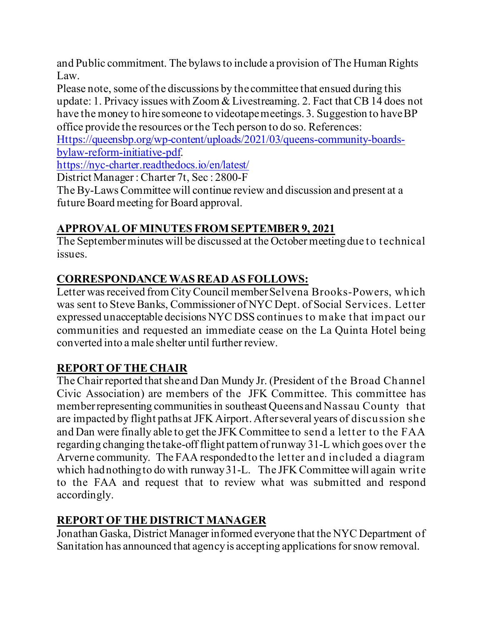and Public commitment. The bylaws to include a provision of The Human Rights Law.

Please note, some of the discussions by the committee that ensued during this update: 1. Privacy issues with Zoom & Livestreaming. 2. Fact that CB 14 does not have the money to hire someone to videotape meetings. 3. Suggestion to have BP office provide the resources or the Tech person to do so. References:

[Https://queensbp.org/wp-content/uploads/2021/03/queens-community-boards](https://queensbp.org/wp-content/uploads/2021/03/queens-community-boards-bylaw-reform-initiative-pdf)[bylaw-reform-initiative-pdf.](https://queensbp.org/wp-content/uploads/2021/03/queens-community-boards-bylaw-reform-initiative-pdf)

<https://nyc-charter.readthedocs.io/en/latest/>

District Manager : Charter 7t, Sec : 2800-F

The By-Laws Committee will continue review and discussion and present at a future Board meeting for Board approval.

# **APPROVAL OF MINUTES FROM SEPTEMBER 9, 2021**

The September minutes will be discussed at the October meeting due to technical issues.

# **CORRESPONDANCEWAS READ AS FOLLOWS:**

Letter was received from City Council member Selvena Brooks-Powers, which was sent to Steve Banks, Commissioner of NYC Dept. of Social Services. Letter expressed unacceptable decisions NYC DSS continues to make that impact our communities and requested an immediate cease on the La Quinta Hotel being converted into a male shelter until further review.

# **REPORT OF THE CHAIR**

The Chair reported that she and Dan Mundy Jr. (President of the Broad Channel Civic Association) are members of the JFK Committee. This committee has member representing communities in southeast Queens and Nassau County that are impacted by flight paths at JFK Airport. After several years of discussion she and Dan were finally able to get the JFK Committee to send a letter to the FAA regarding changing the take-off flight pattern of runway 31-L which goes over the Arverne community. The FAA responded to the letter and included a diagram which had nothing to do with runway 31-L. The JFK Committee will again write to the FAA and request that to review what was submitted and respond accordingly.

# **REPORT OF THE DISTRICT MANAGER**

Jonathan Gaska, District Manager informed everyone that the NYC Department of Sanitation has announced that agency is accepting applications for snow removal.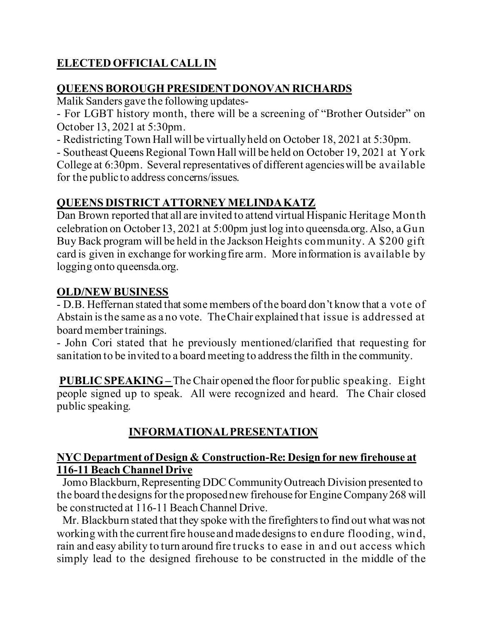# **ELECTED OFFICIAL CALL IN**

## **QUEENS BOROUGH PRESIDENT DONOVAN RICHARDS**

Malik Sanders gave the following updates-

- For LGBT history month, there will be a screening of "Brother Outsider" on October 13, 2021 at 5:30pm.

- Redistricting Town Hall will be virtually held on October 18, 2021 at 5:30pm.

- Southeast Queens Regional Town Hall will be held on October 19, 2021 at York College at 6:30pm. Several representatives of different agencies will be available for the public to address concerns/issues.

## **QUEENS DISTRICT ATTORNEY MELINDA KATZ**

Dan Brown reported that all are invited to attend virtual Hispanic Heritage Month celebration on October 13, 2021 at 5:00pm just log into queensda.org. Also, a Gun Buy Back program will be held in the Jackson Heights community. A \$200 gift card is given in exchange for working fire arm. More information is available by logging onto queensda.org.

## **OLD/NEW BUSINESS**

- D.B. Heffernan stated that some members of the board don't know that a vote of Abstain is the same as a no vote. The Chair explained that issue is addressed at board member trainings.

- John Cori stated that he previously mentioned/clarified that requesting for sanitation to be invited to a board meeting to address the filth in the community.

**PUBLIC SPEAKING** – The Chair opened the floor for public speaking. Eight people signed up to speak. All were recognized and heard. The Chair closed public speaking.

## **INFORMATIONAL PRESENTATION**

### **NYC Department of Design & Construction-Re: Design for new firehouse at 116-11 Beach Channel Drive**

 Jomo Blackburn, Representing DDC Community Outreach Division presented to the board the designs for the proposed new firehouse for Engine Company 268 will be constructed at 116-11 Beach Channel Drive.

 Mr. Blackburn stated that they spoke with the firefighters to find out what was not working with the currentfire house and made designs to endure flooding, wind, rain and easy ability to turn around fire trucks to ease in and out access which simply lead to the designed firehouse to be constructed in the middle of the